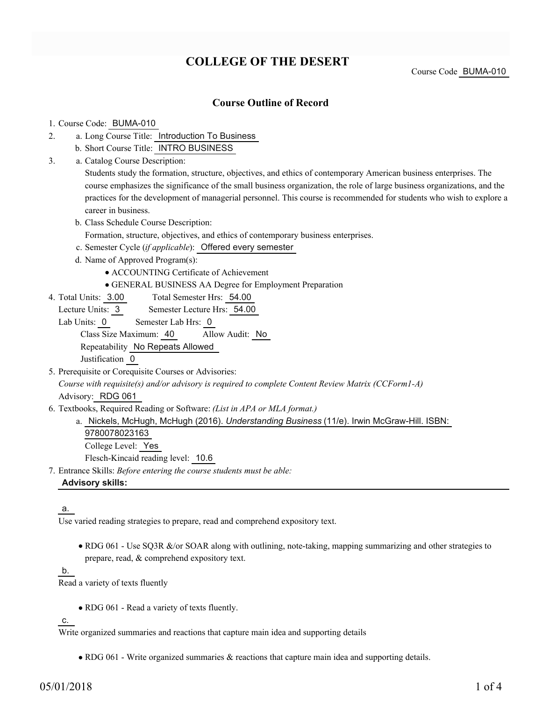# **COLLEGE OF THE DESERT**

Course Code BUMA-010

### **Course Outline of Record**

#### 1. Course Code: BUMA-010

- a. Long Course Title: Introduction To Business 2.
	- b. Short Course Title: INTRO BUSINESS
- Catalog Course Description: a. 3.

Students study the formation, structure, objectives, and ethics of contemporary American business enterprises. The course emphasizes the significance of the small business organization, the role of large business organizations, and the practices for the development of managerial personnel. This course is recommended for students who wish to explore a career in business.

- b. Class Schedule Course Description:
	- Formation, structure, objectives, and ethics of contemporary business enterprises.
- c. Semester Cycle (*if applicable*): Offered every semester
- d. Name of Approved Program(s):
	- ACCOUNTING Certificate of Achievement
	- GENERAL BUSINESS AA Degree for Employment Preparation
- Total Semester Hrs: 54.00 4. Total Units: 3.00
	- Lecture Units: 3 Semester Lecture Hrs: 54.00
	- Lab Units: 0 Semester Lab Hrs: 0

Class Size Maximum: 40 Allow Audit: No

Repeatability No Repeats Allowed

Justification 0

5. Prerequisite or Corequisite Courses or Advisories:

*Course with requisite(s) and/or advisory is required to complete Content Review Matrix (CCForm1-A)* Advisory: RDG 061

Textbooks, Required Reading or Software: *(List in APA or MLA format.)* 6.

a. Nickels, McHugh, McHugh (2016). *Understanding Business* (11/e). Irwin McGraw-Hill. ISBN:

9780078023163

College Level: Yes

Flesch-Kincaid reading level: 10.6

Entrance Skills: *Before entering the course students must be able:* 7.

#### **Advisory skills:**

#### a.

Use varied reading strategies to prepare, read and comprehend expository text.

• RDG 061 - Use SQ3R &/or SOAR along with outlining, note-taking, mapping summarizing and other strategies to prepare, read, & comprehend expository text.

b.

Read a variety of texts fluently

• RDG 061 - Read a variety of texts fluently.

c.

Write organized summaries and reactions that capture main idea and supporting details

RDG 061 - Write organized summaries & reactions that capture main idea and supporting details.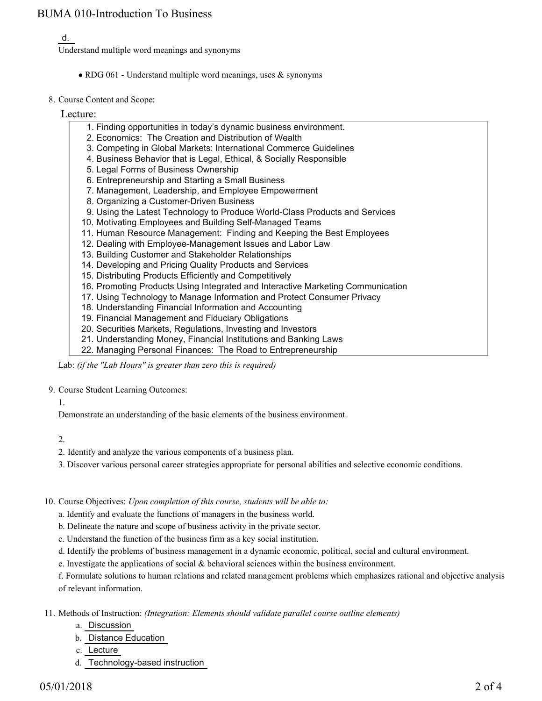# BUMA 010-Introduction To Business

## d.

Understand multiple word meanings and synonyms

- RDG 061 Understand multiple word meanings, uses & synonyms
- 8. Course Content and Scope:

### Lecture:

- 1. Finding opportunities in today's dynamic business environment.
- 2. Economics: The Creation and Distribution of Wealth
- 3. Competing in Global Markets: International Commerce Guidelines
- 4. Business Behavior that is Legal, Ethical, & Socially Responsible
- 5. Legal Forms of Business Ownership
- 6. Entrepreneurship and Starting a Small Business
- 7. Management, Leadership, and Employee Empowerment
- 8. Organizing a Customer-Driven Business
- 9. Using the Latest Technology to Produce World-Class Products and Services
- 10. Motivating Employees and Building Self-Managed Teams
- 11. Human Resource Management: Finding and Keeping the Best Employees
- 12. Dealing with Employee-Management Issues and Labor Law
- 13. Building Customer and Stakeholder Relationships
- 14. Developing and Pricing Quality Products and Services
- 15. Distributing Products Efficiently and Competitively
- 16. Promoting Products Using Integrated and Interactive Marketing Communication
- 17. Using Technology to Manage Information and Protect Consumer Privacy
- 18. Understanding Financial Information and Accounting
- 19. Financial Management and Fiduciary Obligations
- 20. Securities Markets, Regulations, Investing and Investors
- 21. Understanding Money, Financial Institutions and Banking Laws
- 22. Managing Personal Finances: The Road to Entrepreneurship

Lab: *(if the "Lab Hours" is greater than zero this is required)*

### 9. Course Student Learning Outcomes:

1.

Demonstrate an understanding of the basic elements of the business environment.

- 2.
- 2. Identify and analyze the various components of a business plan.
- 3. Discover various personal career strategies appropriate for personal abilities and selective economic conditions.
- 10. Course Objectives: Upon completion of this course, students will be able to:
	- a. Identify and evaluate the functions of managers in the business world.
	- b. Delineate the nature and scope of business activity in the private sector.
	- c. Understand the function of the business firm as a key social institution.
	- d. Identify the problems of business management in a dynamic economic, political, social and cultural environment.
	- e. Investigate the applications of social  $\&$  behavioral sciences within the business environment.

f. Formulate solutions to human relations and related management problems which emphasizes rational and objective analysis of relevant information.

Methods of Instruction: *(Integration: Elements should validate parallel course outline elements)* 11.

- a. Discussion
- b. Distance Education
- c. Lecture
- d. Technology-based instruction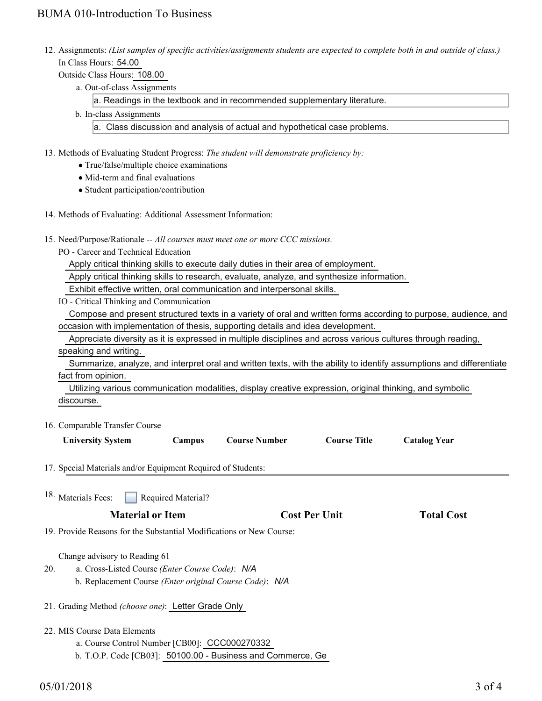# BUMA 010-Introduction To Business

- 12. Assignments: (List samples of specific activities/assignments students are expected to complete both in and outside of class.) In Class Hours: 54.00
	- Outside Class Hours: 108.00
		- a. Out-of-class Assignments

a. Readings in the textbook and in recommended supplementary literature.

b. In-class Assignments

a. Class discussion and analysis of actual and hypothetical case problems.

- 13. Methods of Evaluating Student Progress: The student will demonstrate proficiency by:
	- True/false/multiple choice examinations
	- Mid-term and final evaluations
	- Student participation/contribution
- 14. Methods of Evaluating: Additional Assessment Information:
- 15. Need/Purpose/Rationale -- All courses must meet one or more CCC missions.
	- PO Career and Technical Education

Apply critical thinking skills to execute daily duties in their area of employment.

Apply critical thinking skills to research, evaluate, analyze, and synthesize information.

Exhibit effective written, oral communication and interpersonal skills.

IO - Critical Thinking and Communication

 Compose and present structured texts in a variety of oral and written forms according to purpose, audience, and occasion with implementation of thesis, supporting details and idea development.

Appreciate diversity as it is expressed in multiple disciplines and across various cultures through reading,

speaking and writing.

 Summarize, analyze, and interpret oral and written texts, with the ability to identify assumptions and differentiate fact from opinion.

 Utilizing various communication modalities, display creative expression, original thinking, and symbolic discourse.

#### 16. Comparable Transfer Course

| <b>University System</b>                                             | Campus             | <b>Course Number</b> | <b>Course Title</b>  | <b>Catalog Year</b> |
|----------------------------------------------------------------------|--------------------|----------------------|----------------------|---------------------|
| 17. Special Materials and/or Equipment Required of Students:         |                    |                      |                      |                     |
| 18. Materials Fees:                                                  | Required Material? |                      |                      |                     |
| <b>Material or Item</b>                                              |                    |                      | <b>Cost Per Unit</b> |                     |
| 19. Provide Reasons for the Substantial Modifications or New Course: |                    |                      |                      |                     |
| Change advisory to Reading 61                                        |                    |                      |                      |                     |

- a. Cross-Listed Course *(Enter Course Code)*: *N/A* b. Replacement Course *(Enter original Course Code)*: *N/A* 20.
- 21. Grading Method *(choose one)*: Letter Grade Only
- MIS Course Data Elements 22.
	- a. Course Control Number [CB00]: CCC000270332
	- b. T.O.P. Code [CB03]: 50100.00 Business and Commerce, Ge